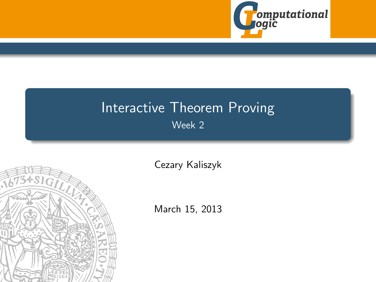

# Interactive Theorem Proving Week 2

<span id="page-0-0"></span>

[Cezary Kaliszyk](http://cl-informatik.uibk.ac.at/~cek)

March 15, 2013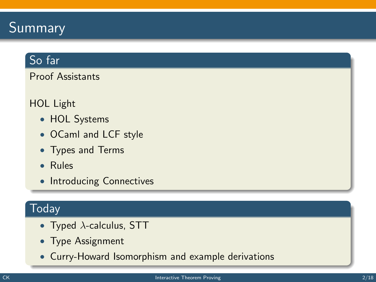# Summary

# So far

Proof Assistants

#### HOL Light

- HOL Systems
- OCaml and LCF style
- Types and Terms
- Rules
- Introducing Connectives

### Today

- Typed  $\lambda$ -calculus, STT
- Type Assignment
- Curry-Howard Isomorphism and example derivations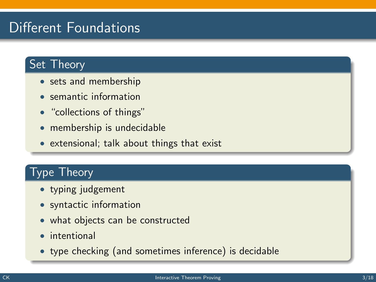# Different Foundations

# Set Theory

- sets and membership
- semantic information
- "collections of things"
- membership is undecidable
- extensional; talk about things that exist

### Type Theory

- typing judgement
- syntactic information
- what objects can be constructed
- intentional
- type checking (and sometimes inference) is decidable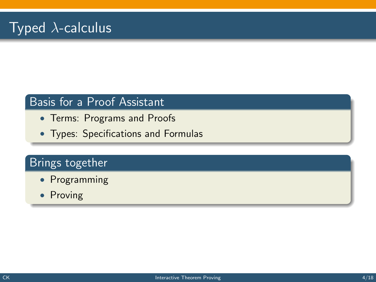### Basis for a Proof Assistant

- Terms: Programs and Proofs
- Types: Specifications and Formulas

# Brings together

- Programming
- Proving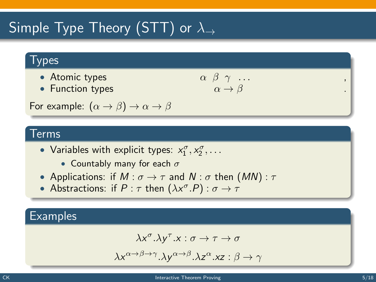# Simple Type Theory (STT) or  $\lambda_{\rightarrow}$

#### **Types**

- Atomic types  $\alpha$
- Function types

$$
\begin{array}{c}\n\beta & \gamma & \dots \\
\alpha & \rightarrow \beta\n\end{array}
$$

For example:  $(\alpha \rightarrow \beta) \rightarrow \alpha \rightarrow \beta$ 

#### Terms

- Variables with explicit types:  $x_1^{\sigma}, x_2^{\sigma}, \ldots$ 
	- Countably many for each  $\sigma$
- Applications: if  $M : \sigma \to \tau$  and  $N : \sigma$  then  $(MN) : \tau$
- Abstractions: if  $P : \tau$  then  $(\lambda x^{\sigma}.P) : \sigma \rightarrow \tau$

#### **Examples**

$$
\lambda x^{\sigma}.\lambda y^{\tau}.x:\sigma\to\tau\to\sigma
$$

$$
\lambda x^{\alpha \to \beta \to \gamma}.\lambda y^{\alpha \to \beta}.\lambda z^{\alpha}.xz : \beta \to \gamma
$$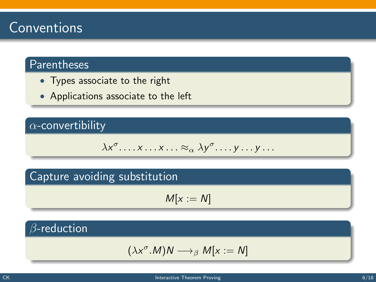# Conventions

# Parentheses

- Types associate to the right
- Applications associate to the left

### $\alpha$ -convertibility

$$
\lambda x^{\sigma} \dots x \dots x \dots \approx_{\alpha} \lambda y^{\sigma} \dots y \dots y \dots
$$

### Capture avoiding substitution

$$
M[x:=N]
$$

## $\beta$ -reduction

$$
(\lambda x^{\sigma}.M)N\longrightarrow_{\beta} M[x:=N]
$$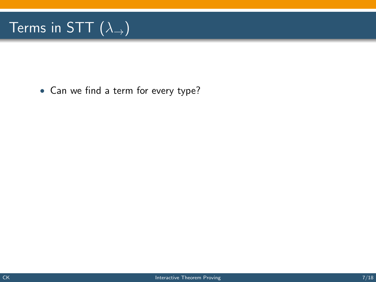# Terms in STT  $(\lambda_{\rightarrow})$

• Can we find a term for every type?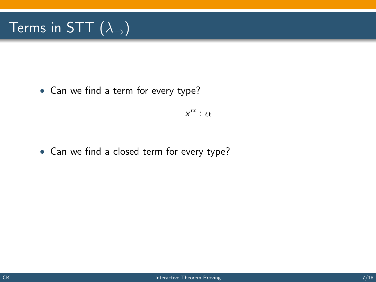# Terms in STT  $(\lambda_{\rightarrow})$

• Can we find a term for every type?

 $x^{\alpha}$  :  $\alpha$ 

• Can we find a closed term for every type?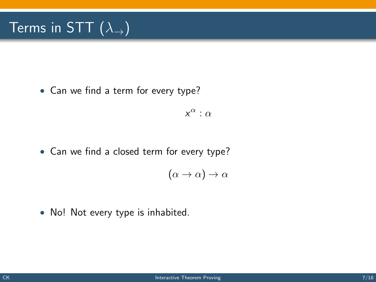# Terms in STT  $(\lambda_+)$

• Can we find a term for every type?

 $x^{\alpha}$  :  $\alpha$ 

• Can we find a closed term for every type?

$$
(\alpha \to \alpha) \to \alpha
$$

• No! Not every type is inhabited.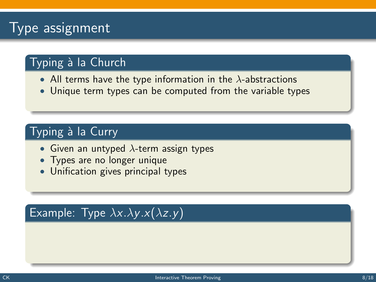# **Type assignment**

# Typing à la Church

- All terms have the type information in the  $\lambda$ -abstractions
- Unique term types can be computed from the variable types

# Typing à la Curry

- Given an untyped  $\lambda$ -term assign types
- Types are no longer unique
- Unification gives principal types

# Example: Type  $\lambda x.\lambda y.x(\lambda z.y)$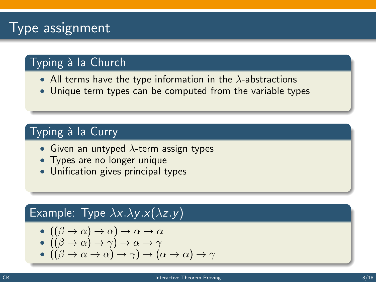# **Type assignment**

# Typing à la Church

- All terms have the type information in the  $\lambda$ -abstractions
- Unique term types can be computed from the variable types

# Typing à la Curry

- Given an untyped  $\lambda$ -term assign types
- Types are no longer unique
- Unification gives principal types

#### Example: Type  $\lambda x.\lambda y.x(\lambda z.y)$

$$
-((\beta \to \alpha) \to \alpha) \to \alpha \to \alpha
$$

$$
\bullet \: ((\beta \to \alpha) \to \gamma) \to \alpha \to \gamma
$$

$$
-((\beta \to \alpha \to \alpha) \to \gamma) \to (\alpha \to \alpha) \to \gamma
$$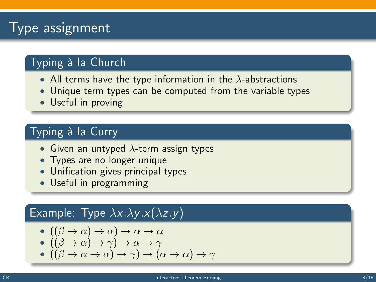# Type assignment

# Typing à la Church

- All terms have the type information in the  $\lambda$ -abstractions
- Unique term types can be computed from the variable types
- Useful in proving

# Typing à la Curry

- Given an untyped  $\lambda$ -term assign types
- Types are no longer unique
- Unification gives principal types
- Useful in programming

#### Example: Type  $\lambda x.\lambda y.x(\lambda z.y)$

$$
-((\beta \to \alpha) \to \alpha) \to \alpha \to \alpha
$$

$$
\bullet \: ((\beta \to \alpha) \to \gamma) \to \alpha \to \gamma
$$

$$
(\beta \to \alpha \to \alpha) \to \gamma) \to (\alpha \to \alpha) \to \gamma
$$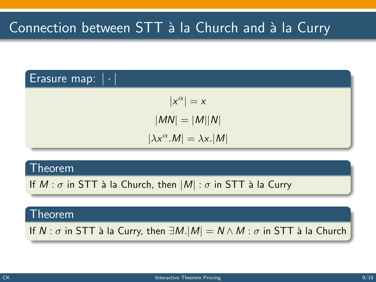#### Erasure map:  $|\cdot|$

$$
|x^{\alpha}| = x
$$

$$
|MN| = |M||N|
$$

$$
|\lambda x^{\alpha}.M| = \lambda x.|M|
$$

#### Theorem

If  $M : \sigma$  in STT à la Church, then  $|M| : \sigma$  in STT à la Curry

#### Theorem

If  $N : \sigma$  in STT à la Curry, then  $\exists M.|M| = N \wedge M : \sigma$  in STT à la Church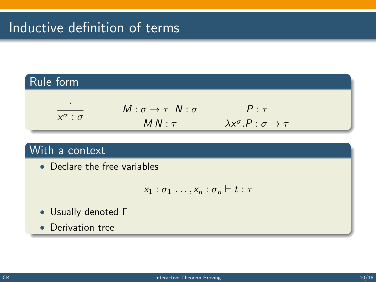# Inductive definition of terms

#### Rule form ·  $x^{\sigma}$  :  $\sigma$  $M : \sigma \rightarrow \tau N : \sigma$  $MN: \tau$  $P : \tau$  $\lambda x^{\sigma}.P : \sigma \rightarrow \tau$

#### With a context

• Declare the free variables

$$
x_1 : \sigma_1 \ldots, x_n : \sigma_n \vdash t : \tau
$$

- Usually denoted Γ
- Derivation tree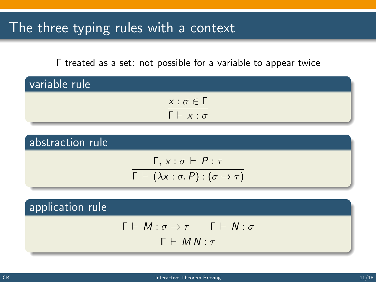# The three typing rules with a context

Γ treated as a set: not possible for a variable to appear twice

| variable rule |                            |  |
|---------------|----------------------------|--|
|               | $x : \sigma \in \Gamma$    |  |
|               | $\Gamma \vdash x : \sigma$ |  |

abstraction rule  $Γ, x : σ ⊢ P : τ$  $\Gamma \vdash (\lambda x : \sigma.\, P) : (\sigma \rightarrow \tau)$ 

application rule  $Γ ⊢ M : σ → τ$  Γ  $⊢ N : σ$  $Γ ⊢ M N : τ$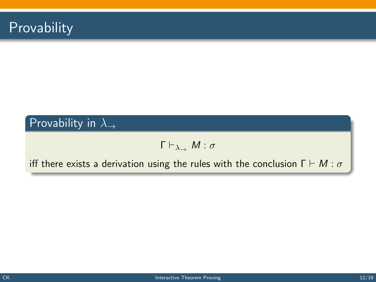

# Provability in  $\lambda$ <sub>→</sub>

$$
\Gamma\vdash_{\lambda_\rightarrow} M:\sigma
$$

iff there exists a derivation using the rules with the conclusion  $\Gamma \vdash M : \sigma$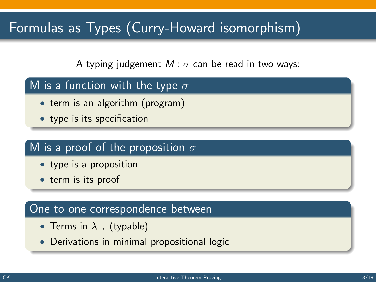# Formulas as Types (Curry-Howard isomorphism)

A typing judgement  $M : \sigma$  can be read in two ways:

#### M is a function with the type  $\sigma$

- term is an algorithm (program)
- type is its specification

#### M is a proof of the proposition  $\sigma$

- type is a proposition
- term is its proof

#### One to one correspondence between

- Terms in  $\lambda_{\rightarrow}$  (typable)
- Derivations in minimal propositional logic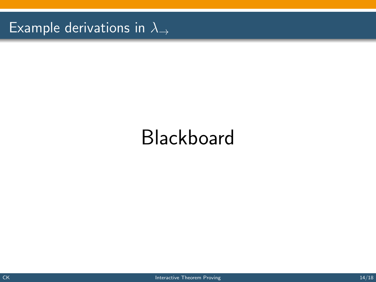Example derivations in  $\lambda_{\rightarrow}$ 

# Blackboard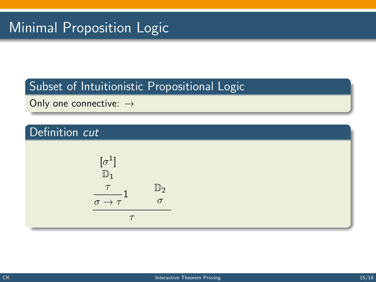# Subset of Intuitionistic Propositional Logic

Only one connective: →

# Definition cut

$$
\begin{array}{ccc}\n[\sigma^1] & & & \\
\mathbb{D}_1 & & & \\
\frac{\tau}{\sigma \to \tau} & & \sigma \\
\hline\n\tau & & & \\
\tau\n\end{array}
$$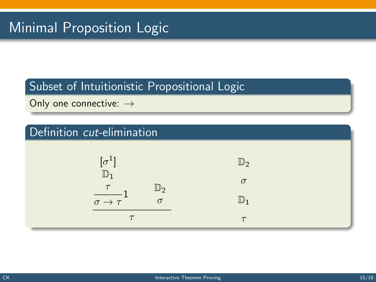#### Subset of Intuitionistic Propositional Logic

Only one connective: →

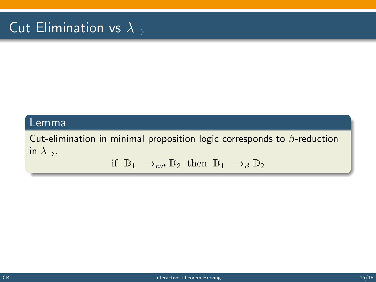# Cut Elimination vs  $\lambda_{\rightarrow}$

#### Lemma

Cut-elimination in minimal proposition logic corresponds to  $\beta$ -reduction in  $\lambda$ <sub>→</sub>.

$$
\text{if } \mathbb{D}_1 \longrightarrow_{\text{cut}} \mathbb{D}_2 \text{ then } \mathbb{D}_1 \longrightarrow_{\beta} \mathbb{D}_2
$$